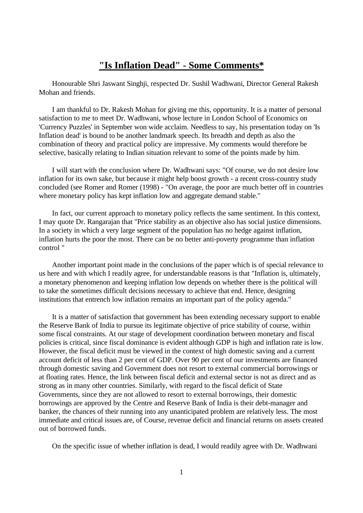## **"Is Inflation Dead" - Some Comments\***

Honourable Shri Jaswant Singhji, respected Dr. Sushil Wadhwani, Director General Rakesh Mohan and friends.

I am thankful to Dr. Rakesh Mohan for giving me this, opportunity. It is a matter of personal satisfaction to me to meet Dr. Wadhwani, whose lecture in London School of Economics on 'Currency Puzzles' in September won wide acclaim. Needless to say, his presentation today on 'Is Inflation dead' is bound to be another landmark speech. Its breadth and depth as also the combination of theory and practical policy are impressive. My comments would therefore be selective, basically relating to Indian situation relevant to some of the points made by him.

I will start with the conclusion where Dr. Wadhwani says: "Of course, we do not desire low inflation for its own sake, but because it might help boost growth - a recent cross-country study concluded (see Romer and Romer (1998) - "On average, the poor are much better off in countries where monetary policy has kept inflation low and aggregate demand stable."

In fact, our current approach to monetary policy reflects the same sentiment. In this context, I may quote Dr. Rangarajan that "Price stability as an objective also has social justice dimensions. In a society in which a very large segment of the population has no hedge against inflation, inflation hurts the poor the most. There can be no better anti-poverty programme than inflation control "

Another important point made in the conclusions of the paper which is of special relevance to us here and with which I readily agree, for understandable reasons is that "Inflation is, ultimately, a monetary phenomenon and keeping inflation low depends on whether there is the political will to take the sometimes difficult decisions necessary to achieve that end. Hence, designing institutions that entrench low inflation remains an important part of the policy agenda."

It is a matter of satisfaction that government has been extending necessary support to enable the Reserve Bank of India to pursue its legitimate objective of price stability of course, within some fiscal constraints. At our stage of development coordination between monetary and fiscal policies is critical, since fiscal dominance is evident although GDP is high and inflation rate is low. However, the fiscal deficit must be viewed in the context of high domestic saving and a current account deficit of less than 2 per cent of GDP. Over 90 per cent of our investments are financed through domestic saving and Government does not resort to external commercial borrowings or at floating rates. Hence, the link between fiscal deficit and external sector is not as direct and as strong as in many other countries. Similarly, with regard to the fiscal deficit of State Governments, since they are not allowed to resort to external borrowings, their domestic borrowings are approved by the Centre and Reserve Bank of India is their debt-manager and banker, the chances of their running into any unanticipated problem are relatively less. The most immediate and critical issues are, of Course, revenue deficit and financial returns on assets created out of borrowed funds.

On the specific issue of whether inflation is dead, I would readily agree with Dr. Wadhwani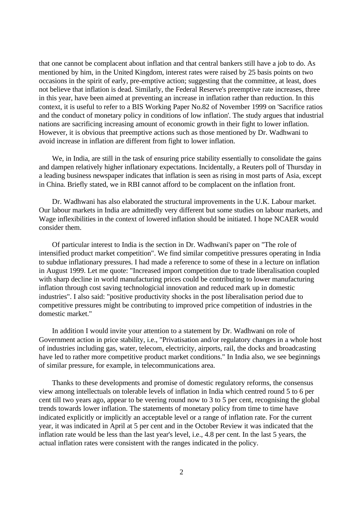that one cannot be complacent about inflation and that central bankers still have a job to do. As mentioned by him, in the United Kingdom, interest rates were raised by 25 basis points on two occasions in the spirit of early, pre-emptive action; suggesting that the committee, at least, does not believe that inflation is dead. Similarly, the Federal Reserve's preemptive rate increases, three in this year, have been aimed at preventing an increase in inflation rather than reduction. In this context, it is useful to refer to a BIS Working Paper No.82 of November 1999 on 'Sacrifice ratios and the conduct of monetary policy in conditions of low inflation'. The study argues that industrial nations are sacrificing increasing amount of economic growth in their fight to lower inflation. However, it is obvious that preemptive actions such as those mentioned by Dr. Wadhwani to avoid increase in inflation are different from fight to lower inflation.

We, in India, are still in the task of ensuring price stability essentially to consolidate the gains and dampen relatively higher inflationary expectations. Incidentally, a Reuters poll of Thursday in a leading business newspaper indicates that inflation is seen as rising in most parts of Asia, except in China. Briefly stated, we in RBI cannot afford to be complacent on the inflation front.

Dr. Wadhwani has also elaborated the structural improvements in the U.K. Labour market. Our labour markets in India are admittedly very different but some studies on labour markets, and Wage inflexibilities in the context of lowered inflation should be initiated. I hope NCAER would consider them.

Of particular interest to India is the section in Dr. Wadhwani's paper on "The role of intensified product market competition". We find similar competitive pressures operating in India to subdue inflationary pressures. I had made a reference to some of these in a lecture on inflation in August 1999. Let me quote: "Increased import competition due to trade liberalisation coupled with sharp decline in world manufacturing prices could be contributing to lower manufacturing inflation through cost saving technologicial innovation and reduced mark up in domestic industries". I also said: "positive productivity shocks in the post liberalisation period due to competitive pressures might be contributing to improved price competition of industries in the domestic market."

In addition I would invite your attention to a statement by Dr. Wadhwani on role of Government action in price stability, i.e., "Privatisation and/or regulatory changes in a whole host of industries including gas, water, telecom, electricity, airports, rail, the docks and broadcasting have led to rather more competitive product market conditions." In India also, we see beginnings of similar pressure, for example, in telecommunications area.

Thanks to these developments and promise of domestic regulatory reforms, the consensus view among intellectuals on tolerable levels of inflation in India which centred round 5 to 6 per cent till two years ago, appear to be veering round now to 3 to 5 per cent, recognising the global trends towards lower inflation. The statements of monetary policy from time to time have indicated explicitly or implicitly an acceptable level or a range of inflation rate. For the current year, it was indicated in April at 5 per cent and in the October Review it was indicated that the inflation rate would be less than the last year's level, i.e., 4.8 per cent. In the last 5 years, the actual inflation rates were consistent with the ranges indicated in the policy.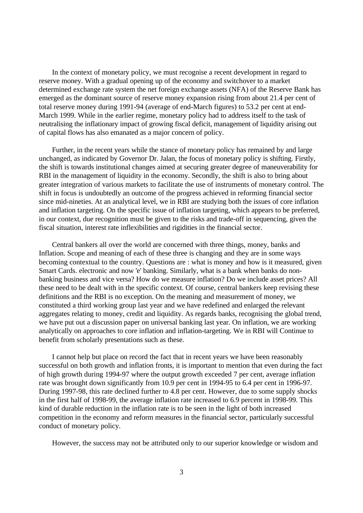In the context of monetary policy, we must recognise a recent development in regard to reserve money. With a gradual opening up of the economy and switchover to a market determined exchange rate system the net foreign exchange assets (NFA) of the Reserve Bank has emerged as the dominant source of reserve money expansion rising from about 21.4 per cent of total reserve money during 1991-94 (average of end-March figures) to 53.2 per cent at end-March 1999. While in the earlier regime, monetary policy had to address itself to the task of neutralising the inflationary impact of growing fiscal deficit, management of liquidity arising out of capital flows has also emanated as a major concern of policy.

Further, in the recent years while the stance of monetary policy has remained by and large unchanged, as indicated by Governor Dr. Jalan, the focus of monetary policy is shifting. Firstly, the shift is towards institutional changes aimed at securing greater degree of maneuverability for RBI in the management of liquidity in the economy. Secondly, the shift is also to bring about greater integration of various markets to facilitate the use of instruments of monetary control. The shift in focus is undoubtedly an outcome of the progress achieved in reforming financial sector since mid-nineties. At an analytical level, we in RBI are studying both the issues of core inflation and inflation targeting. On the specific issue of inflation targeting, which appears to be preferred, in our context, due recognition must be given to the risks and trade-off in sequencing, given the fiscal situation, interest rate inflexibilities and rigidities in the financial sector.

Central bankers all over the world are concerned with three things, money, banks and Inflation. Scope and meaning of each of these three is changing and they are in some ways becoming contextual to the country. Questions are : what is money and how is it measured, given Smart Cards. electronic and now 'e' banking. Similarly, what is a bank when banks do nonbanking business and vice versa? How do we measure inflation? Do we include asset prices? All these need to be dealt with in the specific context. Of course, central bankers keep revising these definitions and the RBI is no exception. On the meaning and measurement of money, we constituted a third working group last year and we have redefined and enlarged the relevant aggregates relating to money, credit and liquidity. As regards banks, recognising the global trend, we have put out a discussion paper on universal banking last year. On inflation, we are working analytically on approaches to core inflation and inflation-targeting. We in RBI will Continue to benefit from scholarly presentations such as these.

I cannot help but place on record the fact that in recent years we have been reasonably successful on both growth and inflation fronts, it is important to mention that even during the fact of high growth during 1994-97 where the output growth exceeded 7 per cent, average inflation rate was brought down significantly from 10.9 per cent in 1994-95 to 6.4 per cent in 1996-97. During 1997-98, this rate declined further to 4.8 per cent. However, due to some supply shocks in the first half of 1998-99, the average inflation rate increased to 6.9 percent in 1998-99. This kind of durable reduction in the inflation rate is to be seen in the light of both increased competition in the economy and reform measures in the financial sector, particularly successful conduct of monetary policy.

However, the success may not be attributed only to our superior knowledge or wisdom and